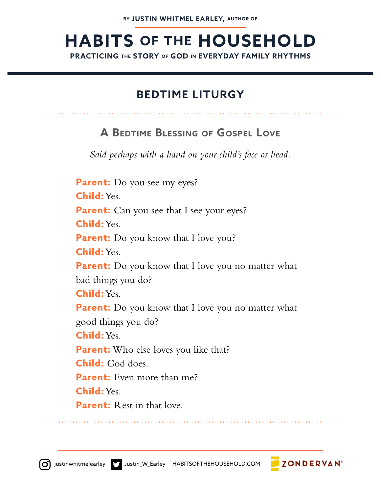# **HABITS OF THE HOUSEHOLD**

**PRACTICING THE STORY OF GOD IN EVERYDAY FAMILY RHYTHMS**

#### **BEDTIME LITURGY**

#### **A BEDTIME BLESSING OF GOSPEL LOVE**

*Said perhaps with a hand on your child's face or head.*

Parent: Do you see my eyes? **Child:** Yes. **Parent:** Can you see that I see your eyes? **Child:** Yes. **Parent:** Do you know that I love you? **Child:** Yes. **Parent:** Do you know that I love you no matter what bad things you do? **Child:** Yes. **Parent:** Do you know that I love you no matter what good things you do? **Child:** Yes. **Parent:** Who else loves you like that? **Child:** God does. **Parent:** Even more than me? **Child:** Yes. **Parent:** Rest in that love.

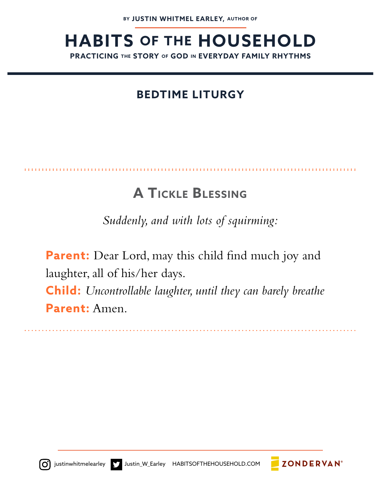#### **Child:** God does. **BEDTIME LITURGY**

**Parent:** Who else loves you like that?

## **A TICKLE BLESSING**

*Suddenly, and with lots of squirming:*

Parent: Dear Lord, may this child find much joy and laughter, all of his/her days. **Child:** *Uncontrollable laughter, until they can barely breathe* **Parent:** Amen.

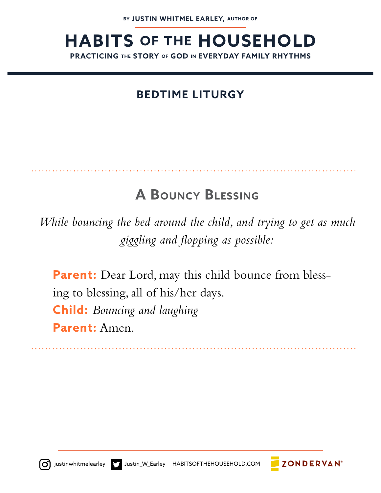### **BEDTIME LITURGY**

### **A BOUNCY BLESSING**

*While bouncing the bed around the child, and trying to get as much giggling and flopping as possible:*

Parent: Dear Lord, may this child bounce from blessing to blessing, all of his/her days. **Child:** *Bouncing and laughing* **Parent:** Amen.



around the model of his control of his first state of his control of his  $\overline{\mathcal{A}}$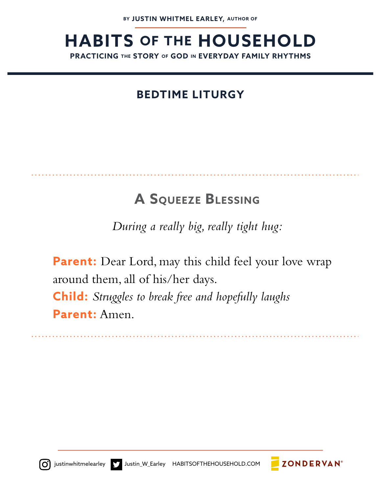*giggling and flopping as possible:*

#### **PEDITIME LITURG! BEDTIME LITURGY**

### **A SQUEEZE BLESSING**

*During a really big, really tight hug:*

**Parent:** Dear Lord, may this child feel your love wrap around them, all of his/her days. **Child:** *Struggles to break free and hopefully laughs* **Parent:** Amen.



**ZONDERVAN**<sup>®</sup>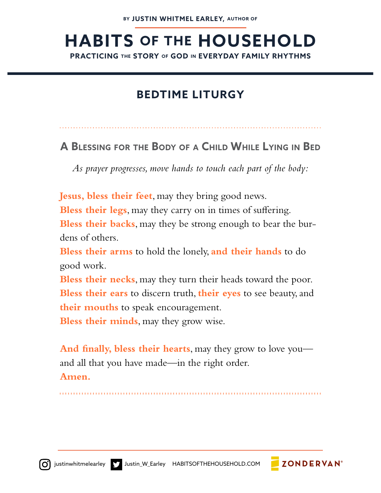### **BEDTIME LITURGY**

**A BLESSING FOR THE BODY OF A CHILD WHILE LYING IN BED**

*As prayer progresses, move hands to touch each part of the body:*

**Jesus, bless their feet**, may they bring good news. Bless their legs, may they carry on in times of suffering. **Bless their backs**, may they be strong enough to bear the burdens of others.

**Bless their arms** to hold the lonely, **and their hands** to do good work.

**Bless their necks**, may they turn their heads toward the poor. **Bless their ears** to discern truth, **their eyes** to see beauty, and **their mouths** to speak encouragement.

**Bless their minds**, may they grow wise.

**And finally, bless their hearts**, may they grow to love you and all that you have made—in the right order. **Amen.**



**Parent:** God loves you. Jesus died for you. And the